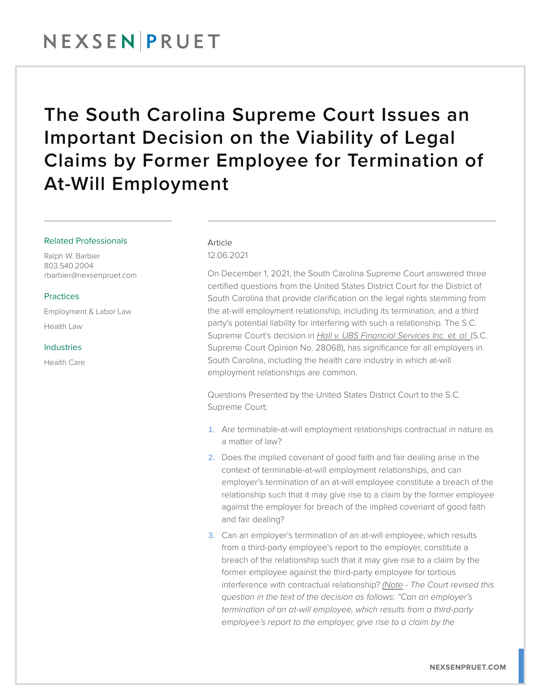## NEXSENPRUET

## The South Carolina Supreme Court Issues an Important Decision on the Viability of Legal Claims by Former Employee for Termination of At-Will Employment

### Related Professionals

Ralph W. Barbier 803.540.2004 rbarbier@nexsenpruet.com

### **Practices**

Employment & Labor Law Health Law

#### Industries

Health Care

### Article 12.06.2021

On December 1, 2021, the South Carolina Supreme Court answered three certified questions from the United States District Court for the District of South Carolina that provide clarification on the legal rights stemming from the at-will employment relationship, including its termination, and a third party's potential liability for interfering with such a relationship. The S.C. Supreme Court's decision in *Hall v. UBS Financial Services Inc. et. al.* (S.C. Supreme Court Opinion No. 28068), has significance for all employers in South Carolina, including the health care industry in which at-will employment relationships are common.

Questions Presented by the United States District Court to the S.C. Supreme Court:

- 1. Are terminable-at-will employment relationships contractual in nature as a matter of law?
- 2. Does the implied covenant of good faith and fair dealing arise in the context of terminable-at-will employment relationships, and can employer's termination of an at-will employee constitute a breach of the relationship such that it may give rise to a claim by the former employee against the employer for breach of the implied covenant of good faith and fair dealing?
- 3. Can an employer's termination of an at-will employee, which results from a third-party employee's report to the employer, constitute a breach of the relationship such that it may give rise to a claim by the former employee against the third-party employee for tortious interference with contractual relationship? *(Note - The Court revised this question in the text of the decision as follows: "Can an employer's termination of an at-will employee, which results from a third-party employee's report to the employer, give rise to a claim by the*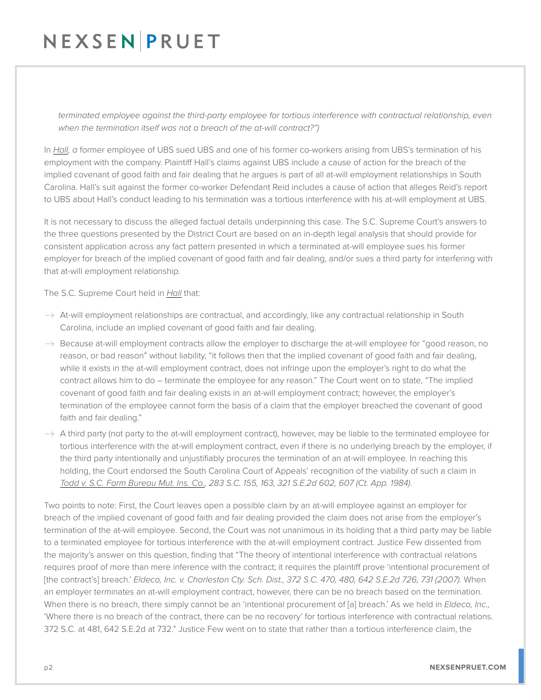# NEXSEN PRUET

*terminated employee against the third-party employee for tortious interference with contractual relationship, even when the termination itself was not a breach of the at-will contract?")*

In *Hall, a* former employee of UBS sued UBS and one of his former co-workers arising from UBS's termination of his employment with the company. Plaintiff Hall's claims against UBS include a cause of action for the breach of the implied covenant of good faith and fair dealing that he argues is part of all at-will employment relationships in South Carolina. Hall's suit against the former co-worker Defendant Reid includes a cause of action that alleges Reid's report to UBS about Hall's conduct leading to his termination was a tortious interference with his at-will employment at UBS.

It is not necessary to discuss the alleged factual details underpinning this case. The S.C. Supreme Court's answers to the three questions presented by the District Court are based on an in-depth legal analysis that should provide for consistent application across any fact pattern presented in which a terminated at-will employee sues his former employer for breach of the implied covenant of good faith and fair dealing, and/or sues a third party for interfering with that at-will employment relationship.

The S.C. Supreme Court held in *Hall* that:

- $\rightarrow$  At-will employment relationships are contractual, and accordingly, like any contractual relationship in South Carolina, include an implied covenant of good faith and fair dealing.
- $\rightarrow$  Because at-will employment contracts allow the employer to discharge the at-will employee for "good reason, no reason, or bad reason" without liability, "it follows then that the implied covenant of good faith and fair dealing, while it exists in the at-will employment contract, does not infringe upon the employer's right to do what the contract allows him to do – terminate the employee for any reason." The Court went on to state, "The implied covenant of good faith and fair dealing exists in an at-will employment contract; however, the employer's termination of the employee cannot form the basis of a claim that the employer breached the covenant of good faith and fair dealing."
- $\rightarrow$  A third party (not party to the at-will employment contract), however, may be liable to the terminated employee for tortious interference with the at-will employment contract, even if there is no underlying breach by the employer, if the third party intentionally and unjustifiably procures the termination of an at-will employee. In reaching this holding, the Court endorsed the South Carolina Court of Appeals' recognition of the viability of such a claim in *Todd v. S.C. Farm Bureau Mut. Ins. Co., 283 S.C. 155, 163, 321 S.E.2d 602, 607 (Ct. App. 1984)*.

Two points to note: First, the Court leaves open a possible claim by an at-will employee against an employer for breach of the implied covenant of good faith and fair dealing provided the claim does not arise from the employer's termination of the at-will employee. Second, the Court was not unanimous in its holding that a third party may be liable to a terminated employee for tortious interference with the at-will employment contract. Justice Few dissented from the majority's answer on this question, finding that "The theory of intentional interference with contractual relations requires proof of more than mere inference with the contract; it requires the plaintiff prove 'intentional procurement of [the contract's] breach.' *Eldeco, Inc. v. Charleston Cty. Sch. Dist., 372 S.C. 470, 480, 642 S.E.2d 726, 731 (2007).* When an employer terminates an at-will employment contract, however, there can be no breach based on the termination. When there is no breach, there simply cannot be an 'intentional procurement of [a] breach.' As we held in *Eldeco, Inc.,* 'Where there is no breach of the contract, there can be no recovery' for tortious interference with contractual relations. 372 S.C. at 481, 642 S.E.2d at 732." Justice Few went on to state that rather than a tortious interference claim, the